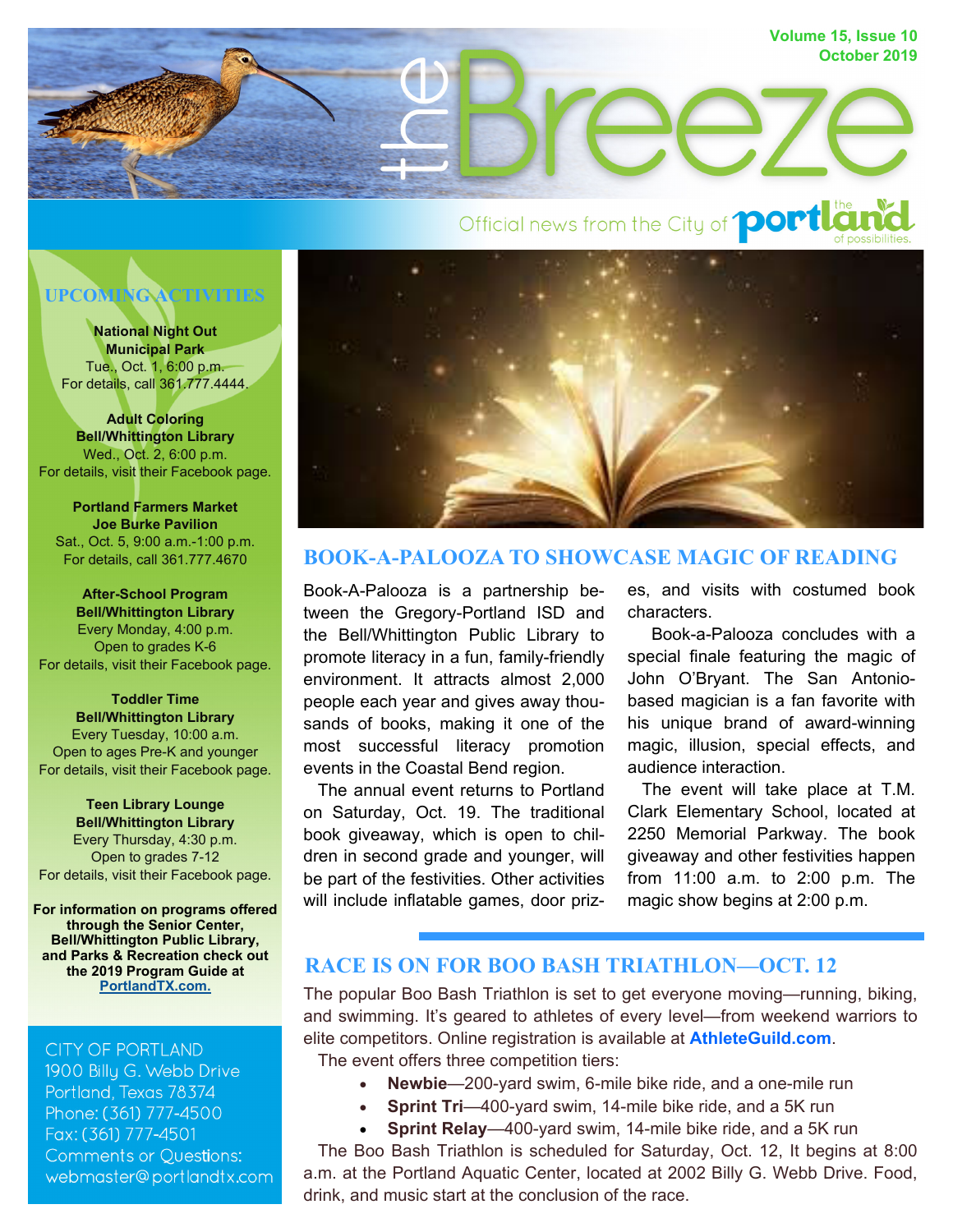

# **UPCOMING ACTIVITIES**

**National Night Out Municipal Park**  Tue., Oct. 1, 6:00 p.m. For details, call 361.777.4444.

**Adult Coloring Bell/Whittington Library**  Wed., Oct. 2, 6:00 p.m. For details, visit their Facebook page.

**Portland Farmers Market Joe Burke Pavilion**  Sat., Oct. 5, 9:00 a.m.-1:00 p.m. For details, call 361.777.4670

**After-School Program Bell/Whittington Library**  Every Monday, 4:00 p.m. Open to grades K-6 For details, visit their Facebook page.

**Toddler Time Bell/Whittington Library**  Every Tuesday, 10:00 a.m. Open to ages Pre-K and younger For details, visit their Facebook page.

**Teen Library Lounge Bell/Whittington Library**  Every Thursday, 4:30 p.m. Open to grades 7-12 For details, visit their Facebook page.

**For information on programs offered through the Senior Center, Bell/Whittington Public Library, and Parks & Recreation check out the 2019 Program Guide at [PortlandTX.com.](http://portlandtx.com/DocumentCenter/View/2569/Final-Corrected-2019-Program-Guide-PDF)**

#### **CITY OF PORTLAND**

1900 Billu G. Webb Drive Portland, Texas 78374 Phone: (361) 777-4500 Fax: (361) 777-4501 **Comments or Questions:** webmaster@portlandtx.com



## **BOOK-A-PALOOZA TO SHOWCASE MAGIC OF READING**

Book-A-Palooza is a partnership between the Gregory-Portland ISD and the Bell/Whittington Public Library to promote literacy in a fun, family-friendly environment. It attracts almost 2,000 people each year and gives away thousands of books, making it one of the most successful literacy promotion events in the Coastal Bend region.

 The annual event returns to Portland on Saturday, Oct. 19. The traditional book giveaway, which is open to children in second grade and younger, will be part of the festivities. Other activities will include inflatable games, door prizes, and visits with costumed book characters.

 Book-a-Palooza concludes with a special finale featuring the magic of John O'Bryant. The San Antoniobased magician is a fan favorite with his unique brand of award-winning magic, illusion, special effects, and audience interaction.

 The event will take place at T.M. Clark Elementary School, located at 2250 Memorial Parkway. The book giveaway and other festivities happen from 11:00 a.m. to 2:00 p.m. The magic show begins at 2:00 p.m.

## **RACE IS ON FOR BOO BASH TRIATHLON—OCT. 12**

The popular Boo Bash Triathlon is set to get everyone moving—running, biking, and swimming. It's geared to athletes of every level—from weekend warriors to elite competitors. Online registration is available at **[AthleteGuild.com](https://www.athleteguild.com/triathlon/portland-tx/2019-7th-annual-boo-bash-triathlon)**. The event offers three competition tiers:

- **Newbie**—200-yard swim, 6-mile bike ride, and a one-mile run
- **Sprint Tri**—400-yard swim, 14-mile bike ride, and a 5K run
- **Sprint Relay**—400-yard swim, 14-mile bike ride, and a 5K run

 The Boo Bash Triathlon is scheduled for Saturday, Oct. 12, It begins at 8:00 a.m. at the Portland Aquatic Center, located at 2002 Billy G. Webb Drive. Food, drink, and music start at the conclusion of the race.